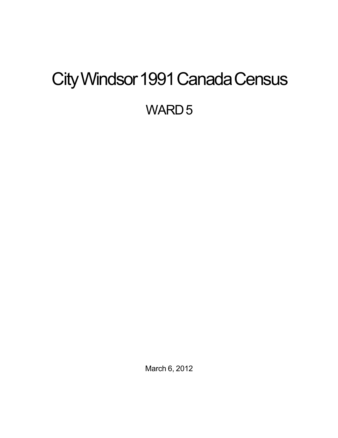# <span id="page-0-0"></span>City Windsor 1991 Canada Census

WARD<sub>5</sub>

March 6, 2012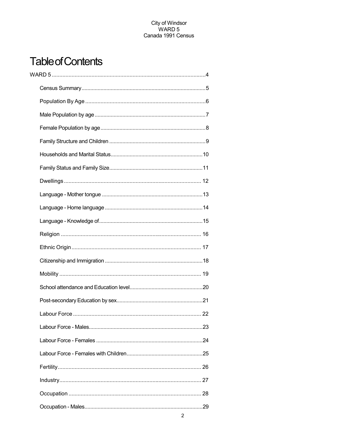## **Table of Contents**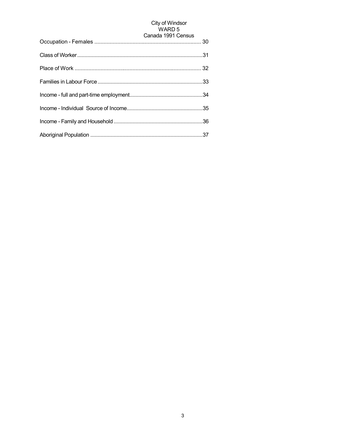# City of Windsor<br>WARD 5

| Canada 1991 Census |
|--------------------|
|                    |
|                    |
|                    |
|                    |
|                    |
|                    |
|                    |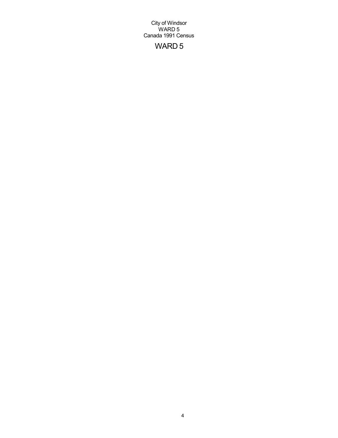## WARD 5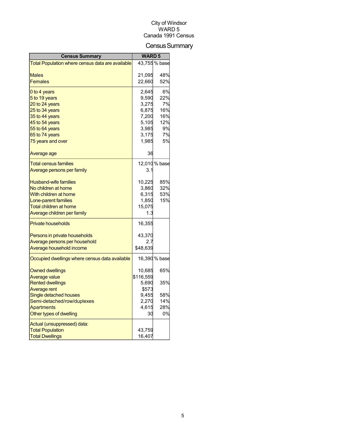## Census Summary

| 43,755 % base<br>Total Population where census data are available<br>48%<br>Males<br>21,095<br>52%<br><b>Females</b><br>22,660<br>6%<br>0 to 4 years<br>2,645<br>22%<br>5 to 19 years<br>9,590<br>7%<br>20 to 24 years<br>3,275<br>16%<br>25 to 34 years<br>6,875<br>35 to 44 years<br>7,200<br>16%<br>5,105<br>12%<br>45 to 54 years<br>9%<br>55 to 64 years<br>3,985<br>7%<br>65 to 74 years<br>3,175<br>5%<br>1,985<br>75 years and over<br>36<br>Average age<br>12,010 % base<br><b>Total census families</b><br>Average persons per family<br>3.1<br><b>Husband-wife families</b><br>10,225<br>85%<br>32%<br>No children at home<br>3,860<br>With children at home<br>6,315<br>53%<br>15%<br>Lone-parent families<br>1,850<br>Total children at home<br>15,075 |
|---------------------------------------------------------------------------------------------------------------------------------------------------------------------------------------------------------------------------------------------------------------------------------------------------------------------------------------------------------------------------------------------------------------------------------------------------------------------------------------------------------------------------------------------------------------------------------------------------------------------------------------------------------------------------------------------------------------------------------------------------------------------|
|                                                                                                                                                                                                                                                                                                                                                                                                                                                                                                                                                                                                                                                                                                                                                                     |
|                                                                                                                                                                                                                                                                                                                                                                                                                                                                                                                                                                                                                                                                                                                                                                     |
|                                                                                                                                                                                                                                                                                                                                                                                                                                                                                                                                                                                                                                                                                                                                                                     |
|                                                                                                                                                                                                                                                                                                                                                                                                                                                                                                                                                                                                                                                                                                                                                                     |
|                                                                                                                                                                                                                                                                                                                                                                                                                                                                                                                                                                                                                                                                                                                                                                     |
|                                                                                                                                                                                                                                                                                                                                                                                                                                                                                                                                                                                                                                                                                                                                                                     |
|                                                                                                                                                                                                                                                                                                                                                                                                                                                                                                                                                                                                                                                                                                                                                                     |
|                                                                                                                                                                                                                                                                                                                                                                                                                                                                                                                                                                                                                                                                                                                                                                     |
|                                                                                                                                                                                                                                                                                                                                                                                                                                                                                                                                                                                                                                                                                                                                                                     |
|                                                                                                                                                                                                                                                                                                                                                                                                                                                                                                                                                                                                                                                                                                                                                                     |
|                                                                                                                                                                                                                                                                                                                                                                                                                                                                                                                                                                                                                                                                                                                                                                     |
|                                                                                                                                                                                                                                                                                                                                                                                                                                                                                                                                                                                                                                                                                                                                                                     |
|                                                                                                                                                                                                                                                                                                                                                                                                                                                                                                                                                                                                                                                                                                                                                                     |
|                                                                                                                                                                                                                                                                                                                                                                                                                                                                                                                                                                                                                                                                                                                                                                     |
|                                                                                                                                                                                                                                                                                                                                                                                                                                                                                                                                                                                                                                                                                                                                                                     |
|                                                                                                                                                                                                                                                                                                                                                                                                                                                                                                                                                                                                                                                                                                                                                                     |
|                                                                                                                                                                                                                                                                                                                                                                                                                                                                                                                                                                                                                                                                                                                                                                     |
|                                                                                                                                                                                                                                                                                                                                                                                                                                                                                                                                                                                                                                                                                                                                                                     |
|                                                                                                                                                                                                                                                                                                                                                                                                                                                                                                                                                                                                                                                                                                                                                                     |
|                                                                                                                                                                                                                                                                                                                                                                                                                                                                                                                                                                                                                                                                                                                                                                     |
|                                                                                                                                                                                                                                                                                                                                                                                                                                                                                                                                                                                                                                                                                                                                                                     |
|                                                                                                                                                                                                                                                                                                                                                                                                                                                                                                                                                                                                                                                                                                                                                                     |
| Average children per family<br>1.3                                                                                                                                                                                                                                                                                                                                                                                                                                                                                                                                                                                                                                                                                                                                  |
| <b>Private households</b><br>16,355                                                                                                                                                                                                                                                                                                                                                                                                                                                                                                                                                                                                                                                                                                                                 |
| 43,370<br>Persons in private households                                                                                                                                                                                                                                                                                                                                                                                                                                                                                                                                                                                                                                                                                                                             |
| Average persons per household<br>2.7                                                                                                                                                                                                                                                                                                                                                                                                                                                                                                                                                                                                                                                                                                                                |
| Average household income<br>\$48,639                                                                                                                                                                                                                                                                                                                                                                                                                                                                                                                                                                                                                                                                                                                                |
| 16,390 % base<br>Occupied dwellings where census data available                                                                                                                                                                                                                                                                                                                                                                                                                                                                                                                                                                                                                                                                                                     |
|                                                                                                                                                                                                                                                                                                                                                                                                                                                                                                                                                                                                                                                                                                                                                                     |
| 65%<br><b>Owned dwellings</b><br>10,685                                                                                                                                                                                                                                                                                                                                                                                                                                                                                                                                                                                                                                                                                                                             |
| <b>Average value</b><br>\$116,559<br><b>Rented dwellings</b><br>35%                                                                                                                                                                                                                                                                                                                                                                                                                                                                                                                                                                                                                                                                                                 |
| 5,690<br>\$573<br>Average rent                                                                                                                                                                                                                                                                                                                                                                                                                                                                                                                                                                                                                                                                                                                                      |
| Single detached houses<br>58%<br>9,455                                                                                                                                                                                                                                                                                                                                                                                                                                                                                                                                                                                                                                                                                                                              |
| 14%<br>Semi-detached/row/duplexes<br>2,270                                                                                                                                                                                                                                                                                                                                                                                                                                                                                                                                                                                                                                                                                                                          |
| 28%<br><b>Apartments</b><br>4,615                                                                                                                                                                                                                                                                                                                                                                                                                                                                                                                                                                                                                                                                                                                                   |
| Other types of dwelling<br>0%<br>30                                                                                                                                                                                                                                                                                                                                                                                                                                                                                                                                                                                                                                                                                                                                 |
|                                                                                                                                                                                                                                                                                                                                                                                                                                                                                                                                                                                                                                                                                                                                                                     |
| Actual (unsuppressed) data:<br><b>Total Population</b><br>43,759                                                                                                                                                                                                                                                                                                                                                                                                                                                                                                                                                                                                                                                                                                    |
| <b>Total Dwellings</b><br>16,407                                                                                                                                                                                                                                                                                                                                                                                                                                                                                                                                                                                                                                                                                                                                    |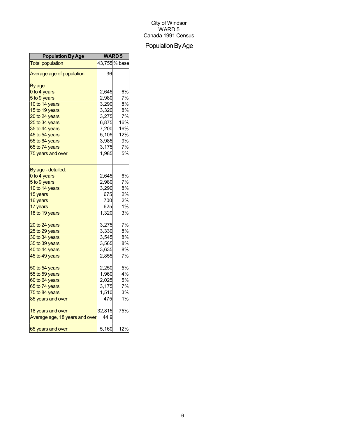## Population By Age

| <b>Population By Age</b>       | <b>WARD 5</b> |               |
|--------------------------------|---------------|---------------|
| <b>Total population</b>        |               | 43,755 % base |
| Average age of population      | 36            |               |
| By age:                        |               |               |
| 0 to 4 years                   | 2,645         | 6%            |
| 5 to 9 years                   | 2,980         | 7%            |
| 10 to 14 years                 | 3,290         | 8%            |
| 15 to 19 years                 | 3,320         | 8%            |
| 20 to 24 years                 | 3,275         | 7%            |
| 25 to 34 years                 | 6,875         | 16%           |
| 35 to 44 years                 | 7,200         | 16%           |
| 45 to 54 years                 | 5,105         | 12%           |
| 55 to 64 years                 | 3,985         | 9%            |
| 65 to 74 years                 | 3,175         | 7%            |
| 75 years and over              | 1,985         | 5%            |
| By age - detailed:             |               |               |
| 0 to 4 years                   | 2,645         | 6%            |
| 5 to 9 years                   | 2,980         | 7%            |
| 10 to 14 years                 | 3,290         | 8%            |
| 15 years                       | 675           | 2%            |
| 16 years                       | 700           | 2%            |
| 17 years                       | 625           | 1%            |
| 18 to 19 years                 | 1,320         | 3%            |
| 20 to 24 years                 | 3,275         | 7%            |
| 25 to 29 years                 | 3,330         | 8%            |
| 30 to 34 years                 | 3,545         | 8%            |
| 35 to 39 years                 | 3,565         | 8%            |
| 40 to 44 years                 | 3,635         | 8%            |
| 45 to 49 years                 | 2,855         | 7%            |
| 50 to 54 years                 | 2,250         | 5%            |
| 55 to 59 years                 | 1,960         | 4%            |
| 60 to 64 years                 | 2,025         | 5%            |
| 65 to 74 years                 | 3,175         | 7%            |
| 75 to 84 years                 | 1,510         | 3%            |
| 85 years and over              | 475           | 1%            |
| 18 years and over              | 32,815        | 75%           |
| Average age, 18 years and over | 44.9          |               |
| 65 years and over              | 5,160         | 12%           |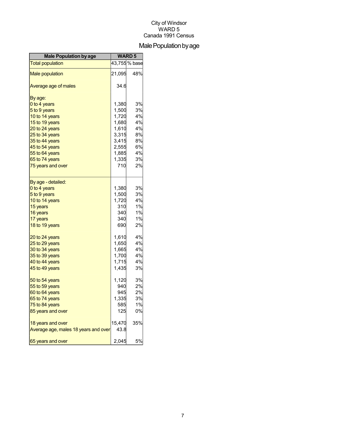## Male Population by age

| <b>Male Population by age</b>        | <b>WARD 5</b> |               |
|--------------------------------------|---------------|---------------|
| <b>Total population</b>              |               | 43,755 % base |
| <b>Male population</b>               | 21,095        | 48%           |
| Average age of males                 | 34.6          |               |
| By age:                              |               |               |
| 0 to 4 years                         | 1,380         | 3%            |
| 5 to 9 years                         | 1,500         | 3%            |
| 10 to 14 years                       | 1,720         | 4%            |
| 15 to 19 years                       | 1,680         | 4%            |
| 20 to 24 years                       | 1,610         | 4%            |
| 25 to 34 years                       | 3,315         | 8%            |
| 35 to 44 years                       | 3,415         | 8%            |
| 45 to 54 years                       | 2,555         | 6%            |
| 55 to 64 years                       | 1,885         | 4%            |
| 65 to 74 years                       | 1,335         | 3%            |
| 75 years and over                    | 710           | 2%            |
| By age - detailed:                   |               |               |
| 0 to 4 years                         | 1,380         | 3%            |
| 5 to 9 years                         | 1,500         | 3%            |
| 10 to 14 years                       | 1,720         | 4%            |
| 15 years                             | 310           | 1%            |
| 16 years                             | 340           | 1%            |
| 17 years                             | 340           | 1%            |
| 18 to 19 years                       | 690           | 2%            |
| 20 to 24 years                       | 1,610         | 4%            |
| 25 to 29 years                       | 1,650         | 4%            |
| 30 to 34 years                       | 1,665         | 4%            |
| 35 to 39 years                       | 1,700         | 4%            |
| 40 to 44 years                       | 1,715         | 4%            |
| 45 to 49 years                       | 1,435         | 3%            |
| 50 to 54 years                       | 1,120         | 3%            |
| 55 to 59 years                       | 940           | 2%            |
| 60 to 64 years                       | 945           | 2%            |
| 65 to 74 years                       | 1,335         | 3%            |
| 75 to 84 years                       | 585           | 1%            |
| 85 years and over                    | 125           | 0%            |
| 18 years and over                    | 15,470        | 35%           |
| Average age, males 18 years and over | 43.8          |               |
| 65 years and over                    | 2,045         | 5%            |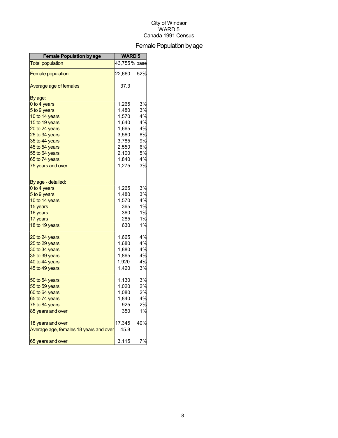## Female Population by age

| <b>Female Population by age</b>        | <b>WARD 5</b> |               |
|----------------------------------------|---------------|---------------|
| <b>Total population</b>                |               | 43,755 % base |
| <b>Female population</b>               | 22,660        | 52%           |
| Average age of females                 | 37.3          |               |
| By age:                                |               |               |
| 0 to 4 years                           | 1,265         | 3%            |
| 5 to 9 years                           | 1,480         | 3%            |
| 10 to 14 years                         | 1,570         | 4%            |
| 15 to 19 years                         | 1,640         | 4%            |
| 20 to 24 years                         | 1,665         | 4%            |
| 25 to 34 years                         | 3,560         | 8%            |
| 35 to 44 years                         | 3,785         | 9%            |
| 45 to 54 years                         | 2,550         | 6%            |
| 55 to 64 years                         | 2,100         | 5%            |
| 65 to 74 years                         | 1,840         | 4%            |
| 75 years and over                      | 1,275         | 3%            |
| By age - detailed:                     |               |               |
| 0 to 4 years                           | 1,265         | 3%            |
| 5 to 9 years                           | 1,480         | 3%            |
| 10 to 14 years                         | 1,570         | 4%            |
| 15 years                               | 365           | 1%            |
| 16 years                               | 360           | 1%            |
| 17 years                               | 285           | 1%            |
| 18 to 19 years                         | 630           | 1%            |
| 20 to 24 years                         | 1,665         | 4%            |
| 25 to 29 years                         | 1,680         | 4%            |
| 30 to 34 years                         | 1,880         | 4%            |
| 35 to 39 years                         | 1,865         | 4%            |
| 40 to 44 years                         | 1,920         | 4%            |
| 45 to 49 years                         | 1,420         | 3%            |
| 50 to 54 years                         | 1,130         | 3%            |
| 55 to 59 years                         | 1,020         | 2%            |
| 60 to 64 years                         | 1,080         | 2%            |
| 65 to 74 years                         | 1,840         | 4%            |
| 75 to 84 years                         | 925           | 2%            |
| 85 years and over                      | 350           | 1%            |
| 18 years and over                      | 17,345        | 40%           |
| Average age, females 18 years and over | 45.8          |               |
| 65 years and over                      | 3,115         | 7%            |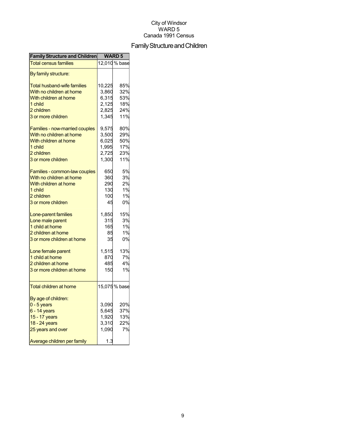## Family Structure and Children

| <b>Family Structure and Children</b> | <b>WARD 5</b> |               |
|--------------------------------------|---------------|---------------|
| <b>Total census families</b>         |               | 12,010 % base |
| By family structure:                 |               |               |
| <b>Total husband-wife families</b>   | 10,225        | 85%           |
| With no children at home             | 3,860         | 32%           |
| With children at home                | 6,315         | 53%           |
| 1 child                              | 2,125         | 18%           |
| 2 children                           | 2,825         | 24%           |
| 3 or more children                   | 1,345         | 11%           |
|                                      |               |               |
| Families - now-married couples       | 9,575         | 80%           |
| With no children at home             | 3,500         | 29%           |
| With children at home                | 6,025         | 50%           |
| 1 child                              | 1,995         | 17%           |
| 2 children                           | 2,725         | 23%           |
| 3 or more children                   | 1,300         | 11%           |
| Families - common-law couples        | 650           | 5%            |
|                                      |               |               |
| With no children at home             | 360           | 3%            |
| With children at home                | 290           | 2%            |
| 1 child                              | 130           | 1%            |
| 2 children                           | 100           | 1%            |
| 3 or more children                   | 45            | 0%            |
| Lone-parent families                 | 1,850         | 15%           |
| Lone male parent                     | 315           | 3%            |
| 1 child at home                      | 165           | 1%            |
| 2 children at home                   | 85            | 1%            |
| 3 or more children at home           | 35            | 0%            |
| Lone female parent                   | 1,515         | 13%           |
| 1 child at home                      | 870           | 7%            |
| 2 children at home                   | 485           | 4%            |
| 3 or more children at home           | 150           | 1%            |
|                                      |               |               |
| <b>Total children at home</b>        |               | 15,075 % base |
|                                      |               |               |
| By age of children:                  |               |               |
| $0 - 5$ years                        | 3,090         | 20%           |
| 6 - 14 years                         | 5,645         | 37%           |
| 15 - 17 years                        | 1,920         | 13%           |
| 18 - 24 years                        | 3,310         | 22%           |
| 25 years and over                    | 1,090         | 7%            |
| Average children per family          | 1.3           |               |
|                                      |               |               |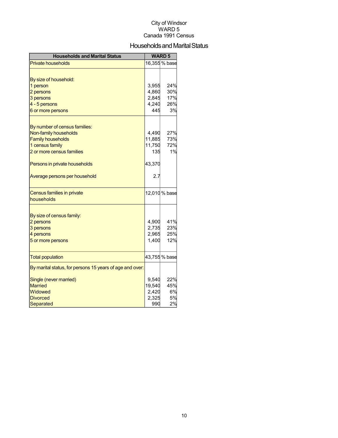## Households and Marital Status

| <b>Households and Marital Status</b>                     |        | <b>WARD 5</b> |
|----------------------------------------------------------|--------|---------------|
| <b>Private households</b>                                |        | 16,355 % base |
|                                                          |        |               |
| By size of household:                                    |        |               |
| 1 person                                                 | 3,955  | 24%           |
| 2 persons                                                | 4,860  | 30%           |
| 3 persons                                                | 2,845  | 17%           |
| 4 - 5 persons                                            | 4,240  | 26%           |
| 6 or more persons                                        | 445    | 3%            |
|                                                          |        |               |
| By number of census families:<br>Non-family households   | 4,490  | 27%           |
| <b>Family households</b>                                 | 11,885 | 73%           |
| 1 census family                                          | 11,750 | 72%           |
| 2 or more census families                                | 135    | 1%            |
|                                                          |        |               |
| Persons in private households                            | 43,370 |               |
| Average persons per household                            | 2.7    |               |
| Census families in private                               |        | 12,010 % base |
| households                                               |        |               |
| By size of census family:                                |        |               |
| 2 persons                                                | 4,900  | 41%           |
| 3 persons                                                | 2,735  | 23%           |
| 4 persons                                                | 2,965  | 25%           |
| 5 or more persons                                        | 1,400  | 12%           |
|                                                          |        |               |
| <b>Total population</b>                                  |        | 43,755 % base |
| By marital status, for persons 15 years of age and over: |        |               |
| Single (never married)                                   | 9,540  | 22%           |
| <b>Married</b>                                           | 19,540 | 45%           |
| Widowed                                                  | 2,420  | 6%            |
| <b>Divorced</b>                                          | 2,325  | 5%            |
| Separated                                                | 990    | 2%            |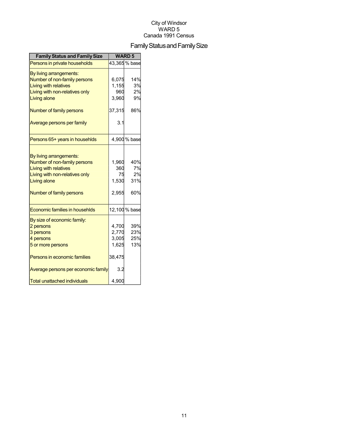## Family Status and Family Size

| <b>Family Status and Family Size</b>  |        | <b>WARD 5</b> |
|---------------------------------------|--------|---------------|
| Persons in private households         |        | 43,365 % base |
| By living arrangements:               |        |               |
| Number of non-family persons          | 6,075  | 14%           |
| <b>Living with relatives</b>          | 1,155  | 3%            |
| Living with non-relatives only        | 960    | 2%            |
| Living alone                          | 3,960  | 9%            |
| Number of family persons              | 37,315 | 86%           |
| Average persons per family            | 3.1    |               |
| Persons 65+ years in househlds        |        | 4,900 % base  |
|                                       |        |               |
| By living arrangements:               |        |               |
| Number of non-family persons          | 1,960  | 40%           |
| <b>Living with relatives</b>          | 360    | 7%            |
| Living with non-relatives only        | 75     | 2%            |
| Living alone                          | 1,530  | 31%           |
| Number of family persons              | 2,955  | 60%           |
| <b>Economic families in househlds</b> |        | 12,100 % base |
| By size of economic family:           |        |               |
| 2 persons                             | 4,700  | 39%           |
| 3 persons                             | 2,770  | 23%           |
| 4 persons                             | 3,005  | 25%           |
| 5 or more persons                     | 1,625  | 13%           |
| Persons in economic families          | 38,475 |               |
| Average persons per economic family   | 3.2    |               |
| <b>Total unattached individuals</b>   | 4,900  |               |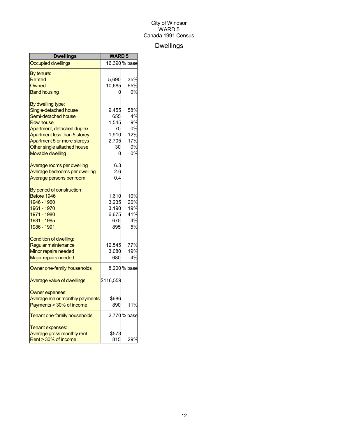## Dwellings

| <b>Dwellings</b>               | <b>WARD 5</b> |               |
|--------------------------------|---------------|---------------|
| <b>Occupied dwellings</b>      |               | 16,390 % base |
| By tenure:                     |               |               |
| Rented                         | 5,690         | 35%           |
| Owned                          | 10,685        | 65%           |
| <b>Band housing</b>            |               | 0%            |
| By dwelling type:              |               |               |
| Single-detached house          | 9.455         | 58%           |
| Semi-detached house            | 655           | 4%            |
| <b>Row house</b>               | 1,545         | 9%            |
| Apartment, detached duplex     | 70            | 0%            |
| Apartment less than 5 storey   | 1,910         | 12%           |
| Apartment 5 or more storeys    | 2,705         | 17%           |
| Other single attached house    | 30            | 0%            |
| Movable dwelling               | 0             | 0%            |
| Average rooms per dwelling     | 6.3           |               |
| Average bedrooms per dwelling  | 2.6           |               |
| Average persons per room       | 0.4           |               |
| By period of construction      |               |               |
| Before 1946                    | 1,610         | 10%           |
| 1946 - 1960                    | 3,235         | 20%           |
| 1961 - 1970                    | 3,190         | 19%           |
| 1971 - 1980                    | 6,675         | 41%           |
| 1981 - 1985                    | 675           | 4%            |
| 1986 - 1991                    | 895           | 5%            |
| Condition of dwelling:         |               |               |
| Regular maintenance            | 12,545        | 77%           |
| Minor repairs needed           | 3,080         | 19%           |
| <b>Major repairs needed</b>    | 680           | 4%            |
| Owner one-family households    |               | 8,200 % base  |
| Average value of dwellings     | \$116,559     |               |
| Owner expenses:                |               |               |
| Average major monthly payments | \$686         |               |
| Payments > 30% of income       | 890           | 11%           |
| Tenant one-family households   |               | 2,770 % base  |
| Tenant expenses:               |               |               |
| Average gross monthly rent     | \$573         |               |
| Rent > 30% of income           | 815           | 29%           |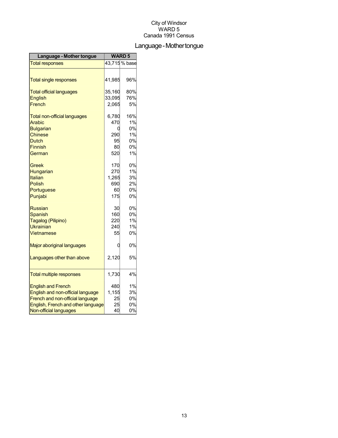## Language-Mothertongue

| Language - Mother tongue            | <b>WARD5</b> |                            |
|-------------------------------------|--------------|----------------------------|
| <b>Total responses</b>              |              | $\overline{43,}715\%$ base |
|                                     |              |                            |
| <b>Total single responses</b>       | 41,985       | 96%                        |
| <b>Total official languages</b>     | 35,160       | 80%                        |
| <b>English</b>                      | 33,095       | 76%                        |
| French                              | 2,065        | 5%                         |
| <b>Total non-official languages</b> | 6,780        | 16%                        |
| Arabic                              | 470          | 1%                         |
| <b>Bulgarian</b>                    | 0            | 0%                         |
| <b>Chinese</b>                      | 290          | 1%                         |
| Dutch                               | 95           | 0%                         |
| Finnish                             | 80           | 0%                         |
| German                              | 520          | 1%                         |
| Greek                               | 170          | 0%                         |
| Hungarian                           | 270          | 1%                         |
| Italian                             | 1,265        | 3%                         |
| Polish                              | 690          | 2%                         |
| Portuguese                          | 60           | 0%                         |
| Punjabi                             | 175          | 0%                         |
| <b>Russian</b>                      | 30           | 0%                         |
| Spanish                             | 160          | 0%                         |
| Tagalog (Pilipino)                  | 220          | 1%                         |
| <b>Ukrainian</b>                    | 240          | 1%                         |
| Vietnamese                          | 55           | 0%                         |
| Major aboriginal languages          | 0            | 0%                         |
| Languages other than above          | 2,120        | 5%                         |
|                                     |              |                            |
| <b>Total multiple responses</b>     | 1,730        | 4%                         |
| <b>English and French</b>           | 480          | 1%                         |
| English and non-official language   | 1,155        | 3%                         |
| French and non-official language    | 25           | 0%                         |
| English, French and other language  | 25           | 0%                         |
| Non-official languages              | 40           | 0%                         |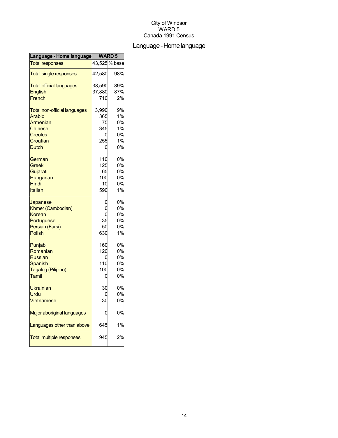## Language-Homelanguage

| Language - Home language            | <b>WARD5</b> |               |
|-------------------------------------|--------------|---------------|
| <b>Total responses</b>              |              | 43,525 % base |
| <b>Total single responses</b>       | 42,580       | 98%           |
| <b>Total official languages</b>     | 38,590       | 89%           |
| <b>English</b>                      | 37,880       | 87%           |
| French                              | 710          | 2%            |
| <b>Total non-official languages</b> | 3,990        | 9%            |
| Arabic                              | 365          | 1%            |
| Armenian                            | 75           | 0%            |
| <b>Chinese</b>                      | 345          | 1%            |
| <b>Creoles</b>                      |              | 0%            |
| Croatian                            | 255          | 1%            |
| <b>Dutch</b>                        | C            | 0%            |
| German                              | 110          | 0%            |
| Greek                               | 125          | 0%            |
| Gujarati                            | 65           | 0%            |
| Hungarian                           | 100          | 0%            |
| Hindi                               | 10           | 0%            |
| Italian                             | 590          | 1%            |
| Japanese                            |              | 0%            |
| Khmer (Cambodian)                   |              | 0%            |
| Korean                              | C            | 0%            |
| Portuguese                          | 35           | 0%            |
| Persian (Farsi)                     | 50           | 0%            |
| Polish                              | 630          | 1%            |
| Punjabi                             | 160          | 0%            |
| Romanian                            | 120          | 0%            |
| <b>Russian</b>                      |              | 0%            |
| <b>Spanish</b>                      | 110          | 0%            |
| Tagalog (Pilipino)                  | 100          | 0%            |
| Tamil                               | C            | 0%            |
| <b>Ukrainian</b>                    | 30           | 0%            |
| Urdu                                |              | 0%            |
| Vietnamese                          | 30           | 0%            |
| Major aboriginal languages          |              | 0%            |
| Languages other than above          | 645          | 1%            |
| <b>Total multiple responses</b>     | 94.          | 2%            |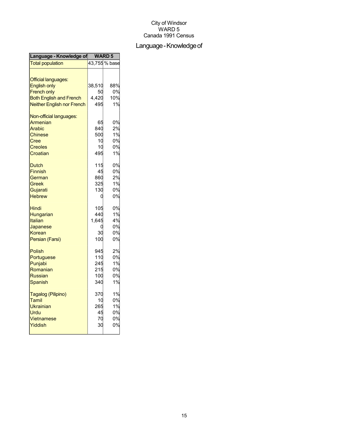## Language - Knowledge of

| Language - Knowledge of                                                                                                                        | <b>WARD 5</b>                          |                                  |
|------------------------------------------------------------------------------------------------------------------------------------------------|----------------------------------------|----------------------------------|
| <b>Total population</b>                                                                                                                        |                                        | 43,755 % base                    |
| <b>Official languages:</b><br><b>English only</b><br><b>French only</b><br><b>Both English and French</b><br><b>Neither English nor French</b> | 38,510<br>50<br>4,420<br>495           | 88%<br>0%<br>10%<br>1%           |
| Non-official languages:<br>Armenian<br>Arabic<br><b>Chinese</b><br>Cree<br><b>Creoles</b><br>Croatian                                          | 65<br>840<br>500<br>10<br>10<br>495    | 0%<br>2%<br>1%<br>0%<br>0%<br>1% |
| <b>Dutch</b><br><b>Finnish</b><br>German<br>Greek<br>Gujarati<br><b>Hebrew</b>                                                                 | 115<br>45<br>860<br>325<br>130<br>C    | 0%<br>0%<br>2%<br>1%<br>0%<br>0% |
| Hindi<br>Hungarian<br><b>Italian</b><br>Japanese<br>Korean<br>Persian (Farsi)                                                                  | 105<br>440<br>1,645<br>30<br>100       | 0%<br>1%<br>4%<br>0%<br>0%<br>0% |
| <b>Polish</b><br>Portuguese<br>Punjabi<br>Romanian<br><b>Russian</b><br>Spanish                                                                | 945<br>110<br>245<br>215<br>100<br>340 | 2%<br>0%<br>1%<br>0%<br>0%<br>1% |
| Tagalog (Pilipino)<br>Tamil<br>Ukrainian<br>Urdu<br><b>Vietnamese</b><br>Yiddish                                                               | 370<br>10<br>265<br>45<br>70<br>30     | 1%<br>0%<br>1%<br>0%<br>0%<br>0% |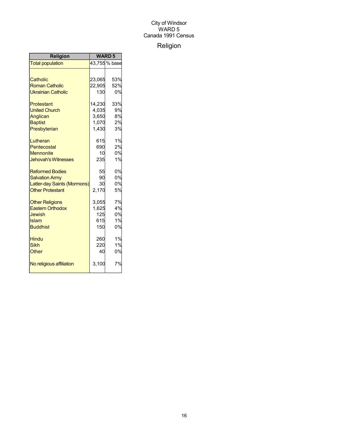## Religion

| Religion                    | <b>WARD5</b> |               |
|-----------------------------|--------------|---------------|
| <b>Total population</b>     |              | 43,755 % base |
|                             |              |               |
| Catholic                    | 23,065       | 53%           |
| <b>Roman Catholic</b>       | 22,905       | 52%           |
| <b>Ukrainian Catholic</b>   | 130          | 0%            |
| Protestant                  | 14,230       | 33%           |
| <b>United Church</b>        | 4,035        | 9%            |
| Anglican                    | 3,650        | 8%            |
| <b>Baptist</b>              | 1,070        | 2%            |
| Presbyterian                | 1,430        | 3%            |
| Lutheran                    | 615          | 1%            |
| Pentecostal                 | 690          | 2%            |
| <b>Mennonite</b>            | 10           | 0%            |
| <b>Jehovah's Witnesses</b>  | 235          | 1%            |
| <b>Reformed Bodies</b>      | 55           | 0%            |
| <b>Salvation Army</b>       | 90           | 0%            |
| Latter-day Saints (Mormons) | 30           | 0%            |
| <b>Other Protestant</b>     | 2,170        | 5%            |
| <b>Other Religions</b>      | 3,055        | 7%            |
| <b>Eastern Orthodox</b>     | 1,625        | 4%            |
| Jewish                      | 125          | 0%            |
| <b>Islam</b>                | 615          | 1%            |
| <b>Buddhist</b>             | 150          | 0%            |
| <b>Hindu</b>                | 260          | 1%            |
| <b>Sikh</b>                 | 220          | 1%            |
| Other                       | 40           | 0%            |
| No religious affiliation    | 3,100        | 7%            |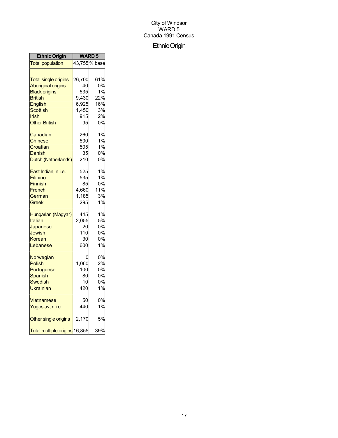## EthnicOrigin

| <b>Ethnic Origin</b>                                                               | <b>WARD 5</b>                   |                                  |
|------------------------------------------------------------------------------------|---------------------------------|----------------------------------|
| <b>Total population</b>                                                            |                                 | 43,755 % base                    |
| <b>Total single origins</b>                                                        | 26,700                          | 61%                              |
| <b>Aboriginal origins</b>                                                          | 40                              | 0%                               |
| <b>Black origins</b>                                                               | 535                             | 1%                               |
| <b>British</b>                                                                     | 9,430                           | 22%                              |
| <b>English</b>                                                                     | 6,925                           | 16%                              |
| Scottish                                                                           | 1,450                           | 3%                               |
| Irish                                                                              | 915                             | 2%                               |
| <b>Other British</b>                                                               | 95                              | 0%                               |
| Canadian                                                                           | 260                             | 1%                               |
| Chinese                                                                            | 500                             | 1%                               |
| Croatian                                                                           | 505                             | 1%                               |
| Danish                                                                             | 35                              | 0%                               |
| Dutch (Netherlands)                                                                | 210                             | 0%                               |
| East Indian, n.i.e.                                                                | 525                             | 1%                               |
| Filipino                                                                           | 535                             | 1%                               |
| <b>Finnish</b>                                                                     | 85                              | 0%                               |
| French                                                                             | 4,660                           | 11%                              |
| German                                                                             | 1,185                           | 3%                               |
| Greek                                                                              | 295                             | 1%                               |
| Hungarian (Magyar)                                                                 | 445                             | 1%                               |
| Italian                                                                            | 2,055                           | 5%                               |
| Japanese                                                                           | 20                              | 0%                               |
| Jewish                                                                             | 110                             | 0%                               |
| Korean                                                                             | 30                              | 0%                               |
| Lebanese                                                                           | 600                             | 1%                               |
| Norwegian<br><b>Polish</b><br>Portuguese<br><b>Spanish</b><br>Swedish<br>Ukrainian | 1,060<br>100<br>80<br>10<br>420 | 0%<br>2%<br>0%<br>0%<br>0%<br>1% |
| Vietnamese                                                                         | 50                              | 0%                               |
| Yugoslav, n.i.e.                                                                   | 440                             | 1%                               |
| Other single origins                                                               | 2,170                           | 5%                               |
| Total multiple origins 16,855                                                      |                                 | 39%                              |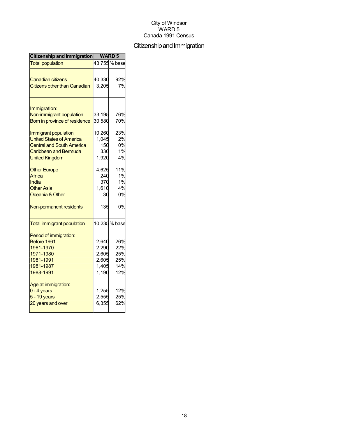## Citizenship and Immigration

| Citizenship and Immigration              | <b>WARD 5</b> |               |
|------------------------------------------|---------------|---------------|
| <b>Total population</b>                  |               | 43,755 % base |
|                                          |               |               |
| <b>Canadian citizens</b>                 | 40,330        | 92%           |
| <b>Citizens other than Canadian</b>      | 3,205         | 7%            |
|                                          |               |               |
| Immigration:<br>Non-immigrant population | 33,195        | 76%           |
|                                          |               | 70%           |
| Born in province of residence            | 30,580        |               |
| Immigrant population                     | 10,260        | 23%           |
| <b>United States of America</b>          | 1,045         | 2%            |
| <b>Central and South America</b>         | 150           | 0%            |
| <b>Caribbean and Bermuda</b>             | 330           | 1%            |
| <b>United Kingdom</b>                    | 1,920         | 4%            |
| <b>Other Europe</b>                      | 4,625         | 11%           |
| Africa                                   | 240           | 1%            |
| India                                    | 370           | 1%            |
| <b>Other Asia</b>                        | 1,610         | 4%            |
| Oceania & Other                          | 30            | 0%            |
| Non-permanent residents                  | 135           | 0%            |
| <b>Total immigrant population</b>        |               | 10,235 % base |
| Period of immigration:                   |               |               |
| Before 1961                              | 2,640         | 26%           |
| 1961-1970                                | 2,290         | 22%           |
| 1971-1980                                | 2,605         | 25%           |
| 1981-1991                                | 2,605         | 25%           |
| 1981-1987                                | 1,405         | 14%           |
| 1988-1991                                | 1,190         | 12%           |
| Age at immigration:                      |               |               |
| $0 - 4$ years                            | 1,255         | 12%           |
| $5 - 19$ years                           | 2,555         | 25%           |
| 20 years and over                        | 6,355         | 62%           |
|                                          |               |               |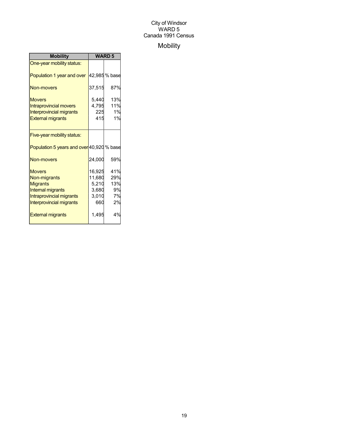## Mobility

| <b>Mobility</b>                                                                                                                      | <b>WARD 5</b>                                      |                                     |
|--------------------------------------------------------------------------------------------------------------------------------------|----------------------------------------------------|-------------------------------------|
| One-year mobility status:                                                                                                            |                                                    |                                     |
| Population 1 year and over                                                                                                           |                                                    | 42,985 % base                       |
| Non-movers                                                                                                                           | 37,515                                             | 87%                                 |
| <b>Movers</b><br><b>Intraprovincial movers</b><br><b>Interprovincial migrants</b><br><b>External migrants</b>                        | 5,440<br>4,795<br>225<br>415                       | 13%<br>11%<br>1%<br>1%              |
| Five-year mobility status:                                                                                                           |                                                    |                                     |
| Population 5 years and over 40,920 % base                                                                                            |                                                    |                                     |
| <b>Non-movers</b>                                                                                                                    | 24,000                                             | 59%                                 |
| <b>Movers</b><br>Non-migrants<br><b>Migrants</b><br><b>Internal migrants</b><br>Intraprovincial migrants<br>Interprovincial migrants | 16,925<br>11,680<br>5,210<br>3,680<br>3,010<br>660 | 41%<br>29%<br>13%<br>9%<br>7%<br>2% |
| <b>External migrants</b>                                                                                                             | 1,495                                              | 4%                                  |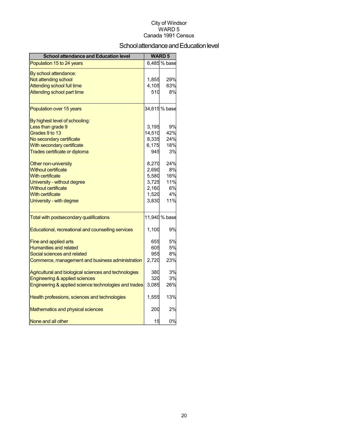## School attendance and Education level

| <b>School attendance and Education level</b>          |        | <b>WARD 5</b> |
|-------------------------------------------------------|--------|---------------|
| Population 15 to 24 years                             |        | 6,485 % base  |
| By school attendance:                                 |        |               |
| Not attending school                                  | 1,855  | 29%           |
| <b>Attending school full time</b>                     | 4,105  | 63%           |
| Attending school part time                            | 510    | 8%            |
| Population over 15 years                              |        | 34,615 % base |
| By highest level of schooling:                        |        |               |
| Less than grade 9                                     | 3,195  | 9%            |
| Grades 9 to 13                                        | 14,510 | 42%           |
| No secondary certificate                              | 8,335  | 24%           |
| With secondary certificate                            | 6,175  | 18%           |
| Trades certificate or diploma                         | 945    | 3%            |
| Other non-university                                  | 8,270  | 24%           |
| <b>Without certificate</b>                            | 2,690  | 8%            |
| <b>With certificate</b>                               | 5,580  | 16%           |
| University - without degree                           | 3,725  | 11%           |
| <b>Without certificate</b>                            | 2,160  | 6%            |
| <b>With certificate</b>                               | 1,520  | 4%            |
| University - with degree                              | 3,830  | 11%           |
| Total with postsecondary qualifications               |        | 11,940 % base |
| Educational, recreational and counselling services    | 1,100  | 9%            |
| Fine and applied arts                                 | 655    | 5%            |
| <b>Humanities and related</b>                         | 605    | 5%            |
| Social sciences and related                           | 955    | 8%            |
| Commerce, management and business administration      | 2,720  | 23%           |
| Agricultural and biological sciences and technologies | 380    | 3%            |
| Engineering & applied sciences                        | 320    | 3%            |
| Engineering & applied science technologies and trades | 3,085  | 26%           |
| Health professions, sciences and technologies         | 1,555  | 13%           |
| Mathematics and physical sciences                     | 200    | 2%            |
| None and all other                                    | 15     | 0%            |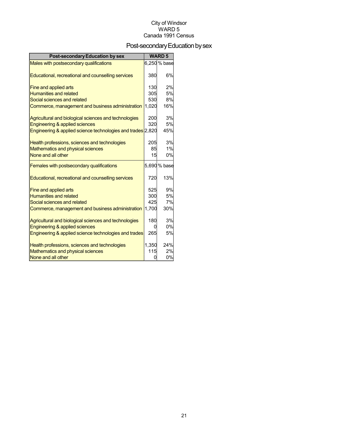## Post-secondary Education by sex

| <b>Post-secondary Education by sex</b>                      |       | <b>WARD 5</b> |
|-------------------------------------------------------------|-------|---------------|
| Males with postsecondary qualifications                     |       | 6,250 % base  |
| Educational, recreational and counselling services          | 380   | 6%            |
| Fine and applied arts                                       | 130   | 2%            |
| <b>Humanities and related</b>                               | 305   | 5%            |
| Social sciences and related                                 | 530   | 8%            |
| Commerce, management and business administration            | 1,020 | 16%           |
| Agricultural and biological sciences and technologies       | 200   | 3%            |
| Engineering & applied sciences                              | 320   | 5%            |
| Engineering & applied science technologies and trades 2,820 |       | 45%           |
| Health professions, sciences and technologies               | 205   | 3%            |
| <b>Mathematics and physical sciences</b>                    | 85    | 1%            |
| None and all other                                          | 15    | 0%            |
| Females with postsecondary qualifications                   |       | 5,690 % base  |
| Educational, recreational and counselling services          | 720   | 13%           |
| Fine and applied arts                                       | 525   | 9%            |
| <b>Humanities and related</b>                               | 300   | 5%            |
| Social sciences and related                                 | 425   | 7%            |
| Commerce, management and business administration            | 1,700 | 30%           |
| Agricultural and biological sciences and technologies       | 180   | 3%            |
| Engineering & applied sciences                              |       | 0%            |
| Engineering & applied science technologies and trades       | 265   | 5%            |
| Health professions, sciences and technologies               | 1,350 | 24%           |
| Mathematics and physical sciences                           | 115   | 2%            |
| None and all other                                          | ი     | 0%            |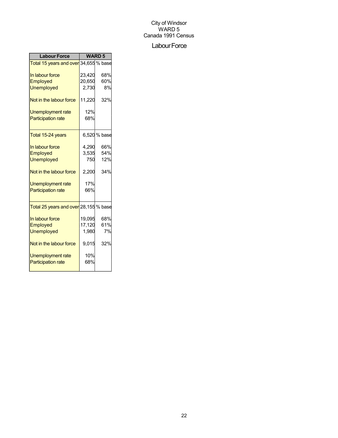#### Labour Force

| <b>Labour Force</b>                                |        | <b>WARD 5</b> |
|----------------------------------------------------|--------|---------------|
| Total 15 years and over 34,655 % base              |        |               |
| In labour force                                    | 23,420 | 68%           |
| Employed                                           | 20,650 | 60%           |
| <b>Unemployed</b>                                  | 2,730  | 8%            |
| Not in the labour force                            | 11,220 | 32%           |
| Unemployment rate                                  | 12%    |               |
| <b>Participation rate</b>                          | 68%    |               |
| Total 15-24 years                                  |        | 6,520 % base  |
| In labour force                                    | 4,290  | 66%           |
| Employed                                           | 3,535  | 54%           |
| <b>Unemployed</b>                                  | 750    | 12%           |
| Not in the labour force                            | 2,200  | 34%           |
| Unemployment rate                                  | 17%    |               |
| <b>Participation rate</b>                          | 66%    |               |
|                                                    |        |               |
| <mark>Total 25 years and over</mark> 28,155 % base |        |               |
| In labour force                                    | 19,095 | 68%           |
| Employed                                           | 17,120 | 61%           |
| <b>Unemployed</b>                                  | 1,980  | 7%            |
| Not in the labour force                            | 9,015  | 32%           |
| <b>Unemployment rate</b>                           | 10%    |               |
| <b>Participation rate</b>                          | 68%    |               |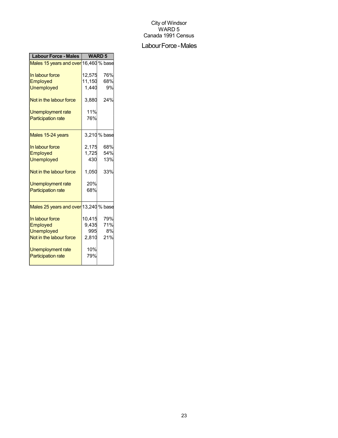## Labour Force - Males

| <b>Labour Force - Males</b>           | <b>WARD 5</b> |              |
|---------------------------------------|---------------|--------------|
| Males 15 years and over 16,460 % base |               |              |
| In labour force                       | 12,575        | 76%          |
| Employed                              | 11,150        | 68%          |
| <b>Unemployed</b>                     | 1,440         | 9%           |
| Not in the labour force               | 3,880         | 24%          |
| Unemployment rate                     | 11%           |              |
| <b>Participation rate</b>             | 76%           |              |
| Males 15-24 years                     |               | 3,210 % base |
| In labour force                       | 2,175         | 68%          |
| Employed                              | 1,725         | 54%          |
| <b>Unemployed</b>                     | 430           | 13%          |
| Not in the labour force               | 1,050         | 33%          |
| <b>Unemployment rate</b>              | 20%           |              |
| <b>Participation rate</b>             | 68%           |              |
| Males 25 years and over 13,240 % base |               |              |
| In labour force                       | 10,415        | 79%          |
| Employed                              | 9,435         | 71%          |
| <b>Unemployed</b>                     | 995           | 8%           |
| Not in the labour force               | 2,810         | 21%          |
| Unemployment rate                     | 10%           |              |
| <b>Participation rate</b>             | 79%           |              |
|                                       |               |              |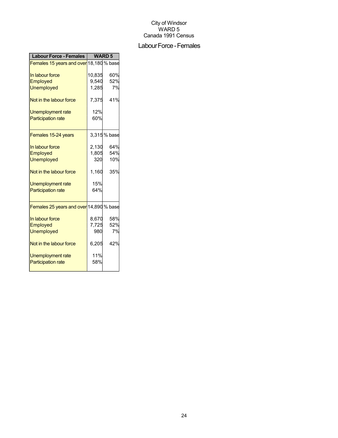## Labour Force - Females

| <b>Labour Force - Females</b>           | <b>WARD 5</b> |             |
|-----------------------------------------|---------------|-------------|
| Females 15 years and over 18,180 % base |               |             |
| In labour force                         | 10,835        | 60%         |
| <b>Employed</b>                         | 9,540         | 52%         |
| <b>Unemployed</b>                       | 1,285         | 7%          |
| Not in the labour force                 | 7,375         | 41%         |
| <b>Unemployment rate</b>                | 12%           |             |
| <b>Participation rate</b>               | 60%           |             |
| Females 15-24 years                     |               | 3,315% base |
| In labour force                         | 2,130         | 64%         |
| Employed                                | 1,805         | 54%         |
| <b>Unemployed</b>                       | 320           | 10%         |
| Not in the labour force                 | 1,160         | 35%         |
| Unemployment rate                       | 15%           |             |
| <b>Participation rate</b>               | 64%           |             |
| Females 25 years and over 14,890 % base |               |             |
| In labour force                         | 8,670         | 58%         |
| Employed                                | 7,725         | 52%         |
| <b>Unemployed</b>                       | 980           | 7%          |
| Not in the labour force                 | 6,205         | 42%         |
| Unemployment rate                       | 11%           |             |
| <b>Participation rate</b>               | 58%           |             |
|                                         |               |             |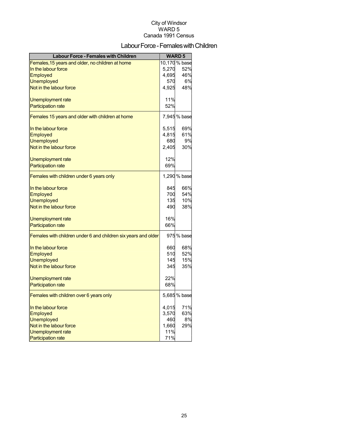## Labour Force - Females with Children

| <b>Labour Force - Females with Children</b>                    |       | <b>WARD 5</b> |
|----------------------------------------------------------------|-------|---------------|
| Females, 15 years and older, no children at home               |       | 10,170 % base |
| In the labour force                                            | 5,270 | 52%           |
| <b>Employed</b>                                                | 4,695 | 46%           |
| <b>Unemployed</b>                                              | 570   | 6%            |
| Not in the labour force                                        | 4,925 | 48%           |
| Unemployment rate                                              | 11%   |               |
| <b>Participation rate</b>                                      | 52%   |               |
| Females 15 years and older with children at home               |       | 7,945 % base  |
| In the labour force                                            | 5,515 | 69%           |
| <b>Employed</b>                                                | 4,815 | 61%           |
| <b>Unemployed</b>                                              | 680   | 9%            |
| Not in the labour force                                        | 2,405 | 30%           |
| <b>Unemployment rate</b>                                       | 12%   |               |
| <b>Participation rate</b>                                      | 69%   |               |
| Females with children under 6 years only                       |       | 1,290 % base  |
| In the labour force                                            | 845   | 66%           |
| Employed                                                       | 700   | 54%           |
| <b>Unemployed</b>                                              | 135   | 10%           |
| Not in the labour force                                        | 490   | 38%           |
| Unemployment rate                                              | 16%   |               |
| <b>Participation rate</b>                                      | 66%   |               |
| Females with children under 6 and children six years and older |       | 975 % base    |
| In the labour force                                            | 660   | 68%           |
| Employed                                                       | 510   | 52%           |
| <b>Unemployed</b>                                              | 145   | 15%           |
| Not in the labour force                                        | 345   | 35%           |
| Unemployment rate                                              | 22%   |               |
| <b>Participation rate</b>                                      | 68%   |               |
| Females with children over 6 years only                        |       | 5,685 % base  |
| In the labour force                                            | 4,015 | 71%           |
| <b>Employed</b>                                                | 3,570 | 63%           |
| <b>Unemployed</b>                                              | 460   | 8%            |
| Not in the labour force                                        | 1,660 | 29%           |
| <b>Unemployment rate</b>                                       | 11%   |               |
| <b>Participation rate</b>                                      | 71%   |               |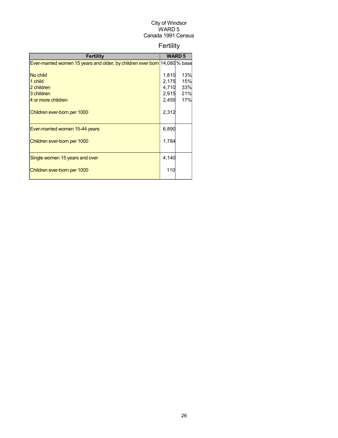## Fertility

| Fertility                                                                  |       | <b>WARD 5</b> |
|----------------------------------------------------------------------------|-------|---------------|
| Ever-married women 15 years and older, by children ever born 14,080 % base |       |               |
|                                                                            |       |               |
| No child                                                                   | 1,810 | 13%           |
| 1 child                                                                    | 2,175 | 15%           |
| 2 children                                                                 | 4,710 | 33%           |
| 3 children                                                                 | 2,915 | 21%           |
| 4 or more children                                                         | 2,455 | 17%           |
| Children ever-born per 1000                                                | 2,312 |               |
| Ever-married women 15-44 years                                             | 6,890 |               |
| Children ever-born per 1000                                                | 1,784 |               |
| Single women 15 years and over                                             | 4,140 |               |
| Children ever-born per 1000                                                | 110   |               |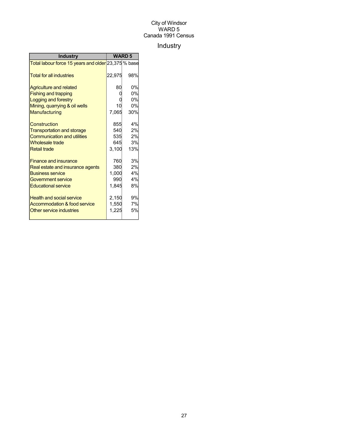## Industry

| <b>Industry</b>                                     | <b>WARD 5</b> |           |
|-----------------------------------------------------|---------------|-----------|
| Total labour force 15 years and older 23,375 % base |               |           |
| <b>Total for all industries</b>                     | 22,975        | 98%       |
| Agriculture and related                             | 80            | 0%        |
| <b>Fishing and trapping</b>                         |               | 0%        |
| Logging and forestry                                |               | 0%        |
| Mining, quarrying & oil wells                       | 10            | 0%        |
| Manufacturing                                       | 7,065         | 30%       |
| Construction                                        | 855           | 4%        |
| <b>Transportation and storage</b>                   | 540           | 2%        |
| <b>Communication and utilities</b>                  | 535           | 2%        |
| <b>Wholesale trade</b>                              | 645           | <b>3%</b> |
| <b>Retail trade</b>                                 | 3,100         | 13%       |
| <b>Finance and insurance</b>                        | 760           | 3%        |
| Real estate and insurance agents                    | 380           | 2%        |
| <b>Business service</b>                             | 1,000         | 4%        |
| Government service                                  | 990           | 4%        |
| <b>Educational service</b>                          | 1,845         | 8%        |
| <b>Health and social service</b>                    | 2,150         | 9%        |
| Accommodation & food service                        | 1,550         | 7%        |
| Other service industries                            | 1,225         | 5%        |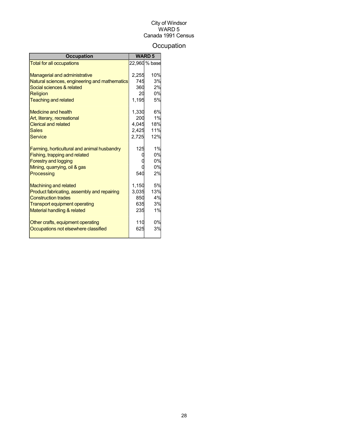## **Occupation**

| <b>Occupation</b>                             |       | <b>WARD 5</b> |
|-----------------------------------------------|-------|---------------|
| <b>Total for all occupations</b>              |       | 22,960 % base |
|                                               |       |               |
| <b>Managerial and administrative</b>          | 2,255 | 10%           |
| Natural sciences, engineering and mathematics | 745   | 3%            |
| Social sciences & related                     | 360   | 2%            |
| Religion                                      | 20    | 0%            |
| <b>Teaching and related</b>                   | 1,195 | 5%            |
| Medicine and health                           | 1,330 | 6%            |
| Art, literary, recreational                   | 200   | 1%            |
| <b>Clerical and related</b>                   | 4.045 | 18%           |
| <b>Sales</b>                                  | 2,425 | 11%           |
| Service                                       | 2,725 | 12%           |
| Farming, horticultural and animal husbandry   | 125   | 1%            |
| Fishing, trapping and related                 |       | 0%            |
| <b>Forestry and logging</b>                   |       | 0%            |
| Mining, quarrying, oil & gas                  |       | 0%            |
| Processing                                    | 540   | 2%            |
| <b>Machining and related</b>                  | 1,150 | 5%            |
| Product fabricating, assembly and repairing   | 3,035 | 13%           |
| <b>Construction trades</b>                    | 850   | 4%            |
| <b>Transport equipment operating</b>          | 635   | 3%            |
| Material handling & related                   | 235   | 1%            |
| Other crafts, equipment operating             | 110   | 0%            |
| Occupations not elsewhere classified          | 625   | 3%            |
|                                               |       |               |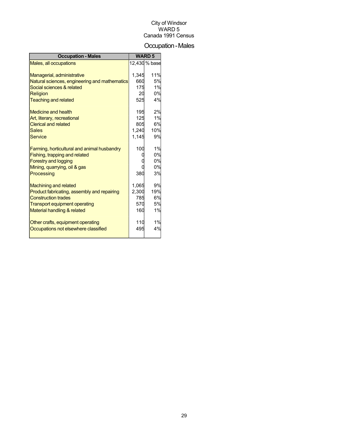## Occupation-Males

| <b>Occupation - Males</b>                     |       | <b>WARD 5</b> |
|-----------------------------------------------|-------|---------------|
| Males, all occupations                        |       | 12,430 % base |
|                                               |       |               |
| Managerial, administrative                    | 1,345 | 11%           |
| Natural sciences, engineering and mathematics | 660   | 5%            |
| Social sciences & related                     | 175   | 1%            |
| Religion                                      | 20    | 0%            |
| <b>Teaching and related</b>                   | 525   | 4%            |
| Medicine and health                           | 195   | 2%            |
| Art, literary, recreational                   | 125   | 1%            |
| <b>Clerical and related</b>                   | 805   | 6%            |
| <b>Sales</b>                                  | 1,240 | 10%           |
| <b>Service</b>                                | 1.145 | 9%            |
|                                               |       |               |
| Farming, horticultural and animal husbandry   | 100   | 1%            |
| Fishing, trapping and related                 |       | 0%            |
| <b>Forestry and logging</b>                   |       | 0%            |
| Mining, quarrying, oil & gas                  |       | 0%            |
| Processing                                    | 380   | 3%            |
| <b>Machining and related</b>                  | 1.065 | 9%            |
| Product fabricating, assembly and repairing   | 2,300 | 19%           |
| <b>Construction trades</b>                    | 785   | 6%            |
| <b>Transport equipment operating</b>          | 570   | 5%            |
| Material handling & related                   | 160   | 1%            |
|                                               |       |               |
| Other crafts, equipment operating             | 110   | 1%            |
| Occupations not elsewhere classified          | 495   | 4%            |
|                                               |       |               |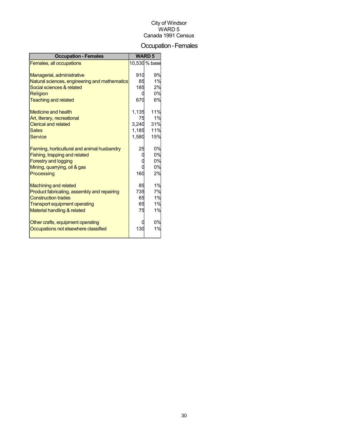## Occupation-Females

| <b>Occupation - Females</b>                                  |       | <b>WARD 5</b> |
|--------------------------------------------------------------|-------|---------------|
| Females, all occupations                                     |       | 10,530 % base |
|                                                              |       |               |
| Managerial, administrative                                   | 910   | 9%            |
| Natural sciences, engineering and mathematics                | 85    | 1%            |
| Social sciences & related                                    | 185   | 2%            |
| Religion                                                     | ſ     | 0%            |
| <b>Teaching and related</b>                                  | 670   | 6%            |
| Medicine and health                                          | 1,135 | 11%           |
| Art, literary, recreational                                  | 75    | 1%            |
| <b>Clerical and related</b>                                  | 3.240 | 31%           |
| <b>Sales</b>                                                 | 1,185 | 11%           |
| Service                                                      | 1,580 | 15%           |
|                                                              | 25    | 0%            |
| Farming, horticultural and animal husbandry                  |       | 0%            |
| Fishing, trapping and related<br><b>Forestry and logging</b> |       | 0%            |
| Mining, quarrying, oil & gas                                 |       | 0%            |
|                                                              | 160   | 2%            |
| Processing                                                   |       |               |
| <b>Machining and related</b>                                 | 85    | 1%            |
| Product fabricating, assembly and repairing                  | 735   | 7%            |
| <b>Construction trades</b>                                   | 65    | 1%            |
| <b>Transport equipment operating</b>                         | 65    | 1%            |
| Material handling & related                                  | 75    | 1%            |
| Other crafts, equipment operating                            |       | 0%            |
| Occupations not elsewhere classified                         | 130   | 1%            |
|                                                              |       |               |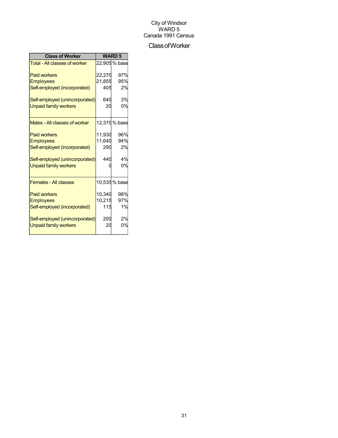## ClassofWorker

| <b>Class of Worker</b>               | <b>WARD 5</b> |               |
|--------------------------------------|---------------|---------------|
| <b>Total - All classes of worker</b> |               | 22,905 % base |
| <b>Paid workers</b>                  | 22,270        | 97%           |
| <b>Employees</b>                     | 21,855        | 95%           |
| Self-employed (incorporated)         | 405           | 2%            |
| Self-employed (unincorporated)       | 640           | 3%            |
| <b>Unpaid family workers</b>         | 20            | 0%            |
| Males - All classes of worker        |               | 12,370 % base |
| <b>Paid workers</b>                  | 11.930        | 96%           |
| <b>Employees</b>                     | 11,640        | 94%           |
| Self-employed (incorporated)         | 290           | 2%            |
| Self-employed (unincorporated)       | 440           | 4%            |
| <b>Unpaid family workers</b>         |               | 0%            |
| <b>Females - All classes</b>         |               | 10,535 % base |
| <b>Paid workers</b>                  | 10,340        | 98%           |
| <b>Employees</b>                     | 10,215        | 97%           |
| Self-employed (incorporated)         | 115           | 1%            |
| Self-employed (unincorporated)       | 200           | 2%            |
| <b>Unpaid family workers</b>         | 20            | 0%            |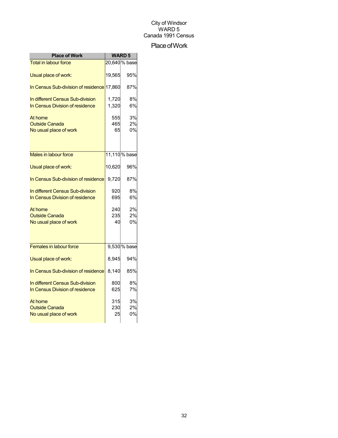## Place of Work

| <b>Place of Work</b>                       | <b>WARD 5</b> |               |
|--------------------------------------------|---------------|---------------|
| <b>Total in labour force</b>               |               | 20,640 % base |
| Usual place of work:                       | 19,565        | 95%           |
| In Census Sub-division of residence 17,860 |               | 87%           |
| In different Census Sub-division           | 1,720         | 8%            |
| In Census Division of residence            | 1,320         | 6%            |
| At home                                    | 555           | 3%            |
| <b>Outside Canada</b>                      | 465           | 2%            |
| No usual place of work                     | 65            | 0%            |
|                                            |               |               |
| Males in labour force                      |               | 11,110 % base |
| Usual place of work:                       | 10,620        | 96%           |
| In Census Sub-division of residence        | 9,720         | 87%           |
| In different Census Sub-division           | 920           | 8%            |
| In Census Division of residence            | 695           | 6%            |
| At home                                    | 240           | 2%            |
| <b>Outside Canada</b>                      | 235           | 2%            |
| No usual place of work                     | 40            | 0%            |
|                                            |               |               |
| Females in labour force                    |               | 9,530 % base  |
| Usual place of work:                       | 8,945         | 94%           |
| In Census Sub-division of residence        | 8,140         | 85%           |
| In different Census Sub-division           | 800           | 8%            |
| In Census Division of residence            | 625           | 7%            |
| At home                                    | 315           | 3%            |
| <b>Outside Canada</b>                      | 230           | 2%            |
| No usual place of work                     | 25            | 0%            |
|                                            |               |               |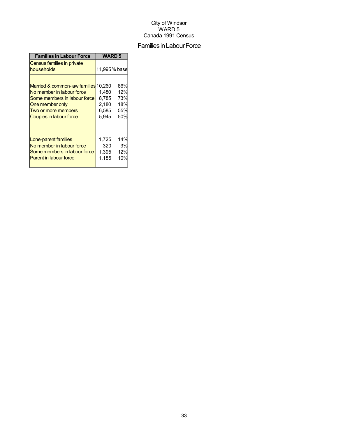## Families in Labour Force

| <b>Families in Labour Force</b>                                                                                                                                        | <b>WARD 5</b>                             |                                        |
|------------------------------------------------------------------------------------------------------------------------------------------------------------------------|-------------------------------------------|----------------------------------------|
| Census families in private<br>households                                                                                                                               |                                           | 11,995% base                           |
| Married & common-law families 10,260<br>No member in labour force<br>Some members in labour force<br>One member only<br>Two or more members<br>Couples in labour force | 1,480<br>8,785<br>2,180<br>6,585<br>5,945 | 86%<br>12%<br>73%<br>18%<br>55%<br>50% |
| Lone-parent families<br>No member in labour force<br>Some members in labour force<br><b>Parent in labour force</b>                                                     | 1,725<br>320<br>1,395<br>1,185            | 14%<br>3%<br>12%<br>10%                |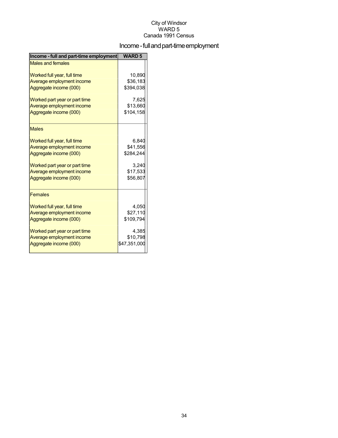## Income - full and part-time employment

| Income - full and part-time employment | <b>WARD 5</b> |
|----------------------------------------|---------------|
| <b>Males and females</b>               |               |
| Worked full year, full time            | 10.890        |
| Average employment income              | \$36,183      |
| Aggregate income (000)                 | \$394,038     |
| Worked part year or part time          | 7,625         |
| Average employment income              | \$13,660      |
| Aggregate income (000)                 | \$104,158     |
| <b>Males</b>                           |               |
| Worked full year, full time            | 6,840         |
| Average employment income              | \$41,556      |
| Aggregate income (000)                 | \$284,244     |
| Worked part year or part time          | 3.240         |
| Average employment income              | \$17,533      |
| Aggregate income (000)                 | \$56,807      |
| <b>Females</b>                         |               |
| Worked full year, full time            | 4,050         |
| Average employment income              | \$27,110      |
| Aggregate income (000)                 | \$109,794     |
| Worked part year or part time          | 4,385         |
| Average employment income              | \$10,798      |
| Aggregate income (000)                 | \$47,351,000  |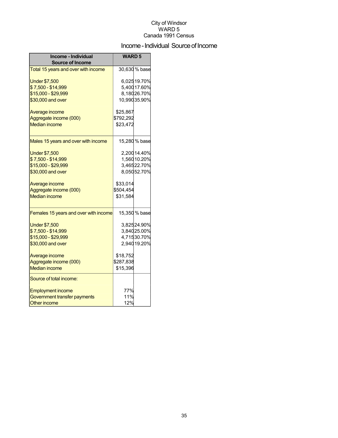## Income - Individual Source of Income

| Income - Individual<br><b>Source of Income</b> | <b>WARD5</b> |                             |
|------------------------------------------------|--------------|-----------------------------|
| Total 15 years and over with income            |              | 30,630 % base               |
| <b>Under \$7,500</b><br>\$7,500 - \$14,999     |              | 6,02519.70%<br>5,400 17.60% |
| \$15,000 - \$29,999                            |              | 8,18026.70%                 |
| \$30,000 and over                              |              | 10,99035.90%                |
| Average income                                 | \$25,867     |                             |
| Aggregate income (000)                         | \$792,292    |                             |
| <b>Median income</b>                           | \$23,472     |                             |
| Males 15 years and over with income            |              | 15,280 % base               |
| <b>Under \$7,500</b>                           |              | 2,200 14.40%                |
| \$7,500 - \$14,999                             |              | 1,560 10.20%                |
| \$15,000 - \$29,999                            |              | 3,46522.70%                 |
| \$30,000 and over                              |              | 8,05052.70%                 |
| Average income                                 | \$33,014     |                             |
| Aggregate income (000)                         | \$504,454    |                             |
| <b>Median income</b>                           | \$31,584     |                             |
| Females 15 years and over with income          |              | 15,350 % base               |
| <b>Under \$7,500</b>                           |              | 3,82524.90%                 |
| \$7,500 - \$14,999                             |              | 3,84025.00%                 |
| \$15,000 - \$29,999                            |              | 4,71530.70%                 |
| \$30,000 and over                              |              | 2,94019.20%                 |
| Average income                                 | \$18,752     |                             |
| Aggregate income (000)                         | \$287,838    |                             |
| <b>Median income</b>                           | \$15,396     |                             |
| Source of total income:                        |              |                             |
| <b>Employment income</b>                       | 77%          |                             |
| Government transfer payments                   | 11%          |                             |
| <b>Other income</b>                            | 12%          |                             |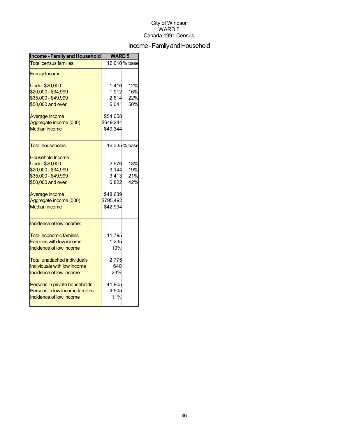## Income - Family and Household

| Income - Family and Household   | <b>WARD5</b> |               |  |
|---------------------------------|--------------|---------------|--|
| <b>Total census families</b>    |              | 12,010 % base |  |
| <b>Family Income:</b>           |              |               |  |
| <b>Under \$20,000</b>           | 1,416        | 12%           |  |
| \$20,000 - \$34,999             | 1,912        | 16%           |  |
| \$35,000 - \$49,999             | 2,614        | 22%           |  |
| \$50,000 and over               | 6,041        | 50%           |  |
| Average income                  | \$54,058     |               |  |
| Aggregate income (000)          | \$649,241    |               |  |
| <b>Median income</b>            | \$49,344     |               |  |
| <b>Total households</b>         |              | 16,335 % base |  |
| <b>Household Income:</b>        |              |               |  |
| <b>Under \$20,000</b>           | 2,976        | 18%           |  |
| \$20,000 - \$34,999             | 3,144        | 19%           |  |
| \$35,000 - \$49,999             | 3,413        | 21%           |  |
| \$50,000 and over               | 6.822        | 42%           |  |
| Average income                  | \$48,639     |               |  |
| Aggregate income (000)          | \$795,492    |               |  |
| <b>Median income</b>            | \$42,994     |               |  |
| Incidence of low income:        |              |               |  |
| <b>Total economic families</b>  | 11,795       |               |  |
| <b>Families with low income</b> | 1,235        |               |  |
| Incidence of low income         | 10%          |               |  |
| Total unattached individuals    | 2,775        |               |  |
| Individuals with low income     | 640          |               |  |
| Incidence of low income         | 23%          |               |  |
| Persons in private households   | 41,905       |               |  |
| Persons in low income families  | 4,505        |               |  |
| Incidence of low income         | 11%          |               |  |